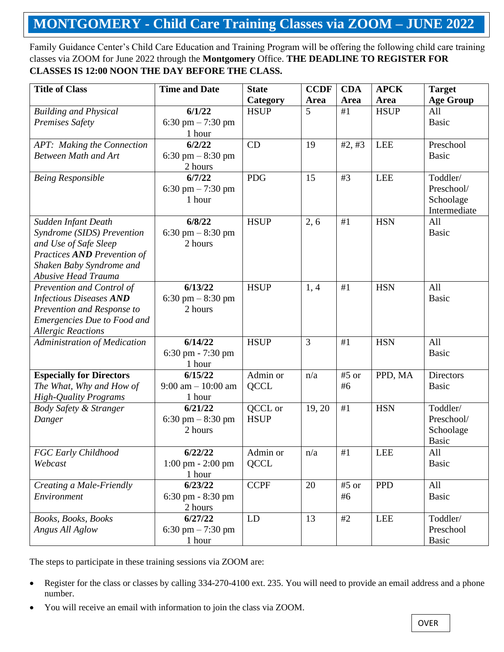## **MONTGOMERY - Child Care Training Classes via ZOOM – JUNE 2022**

Family Guidance Center's Child Care Education and Training Program will be offering the following child care training classes via ZOOM for June 2022 through the **Montgomery** Office. **THE DEADLINE TO REGISTER FOR CLASSES IS 12:00 NOON THE DAY BEFORE THE CLASS.**

| <b>Title of Class</b>              | <b>Time and Date</b>                | <b>State</b> | <b>CCDF</b> | <b>CDA</b> | <b>APCK</b> | <b>Target</b>    |
|------------------------------------|-------------------------------------|--------------|-------------|------------|-------------|------------------|
|                                    |                                     | Category     | Area        | Area       | Area        | <b>Age Group</b> |
| <b>Building and Physical</b>       | 6/1/22                              | <b>HSUP</b>  | 5           | #1         | <b>HSUP</b> | All              |
| <b>Premises Safety</b>             | 6:30 pm $-7:30$ pm                  |              |             |            |             | <b>Basic</b>     |
|                                    | 1 hour                              |              |             |            |             |                  |
| APT: Making the Connection         | 6/2/22                              | CD           | 19          | #2, #3     | <b>LEE</b>  | Preschool        |
| <b>Between Math and Art</b>        | 6:30 pm $-8:30$ pm                  |              |             |            |             | <b>Basic</b>     |
|                                    | 2 hours                             |              |             |            |             |                  |
| <b>Being Responsible</b>           | 6/7/22                              | <b>PDG</b>   | 15          | #3         | <b>LEE</b>  | Toddler/         |
|                                    | 6:30 pm $-7:30$ pm                  |              |             |            |             | Preschool/       |
|                                    | 1 hour                              |              |             |            |             | Schoolage        |
|                                    |                                     |              |             |            |             | Intermediate     |
| Sudden Infant Death                | 6/8/22                              | <b>HSUP</b>  | 2, 6        | #1         | <b>HSN</b>  | All              |
| Syndrome (SIDS) Prevention         | 6:30 pm $-8:30$ pm                  |              |             |            |             | <b>Basic</b>     |
| and Use of Safe Sleep              | 2 hours                             |              |             |            |             |                  |
| Practices AND Prevention of        |                                     |              |             |            |             |                  |
| Shaken Baby Syndrome and           |                                     |              |             |            |             |                  |
| <b>Abusive Head Trauma</b>         |                                     |              |             |            |             |                  |
| Prevention and Control of          | 6/13/22                             | <b>HSUP</b>  | 1, 4        | #1         | <b>HSN</b>  | All              |
| <b>Infectious Diseases AND</b>     | 6:30 pm $-8:30$ pm                  |              |             |            |             | <b>Basic</b>     |
| Prevention and Response to         | 2 hours                             |              |             |            |             |                  |
| <b>Emergencies Due to Food and</b> |                                     |              |             |            |             |                  |
| <b>Allergic Reactions</b>          |                                     |              |             |            |             |                  |
| Administration of Medication       | 6/14/22                             | <b>HSUP</b>  | 3           | #1         | <b>HSN</b>  | All              |
|                                    | 6:30 pm - 7:30 pm                   |              |             |            |             | <b>Basic</b>     |
| <b>Especially for Directors</b>    | 1 hour<br>6/15/22                   | Admin or     | n/a         | #5 or      | PPD, MA     | <b>Directors</b> |
| The What, Why and How of           | $9:00$ am $-10:00$ am               | <b>QCCL</b>  |             | #6         |             | <b>Basic</b>     |
| <b>High-Quality Programs</b>       | 1 hour                              |              |             |            |             |                  |
| <b>Body Safety &amp; Stranger</b>  | 6/21/22                             | QCCL or      | 19, 20      | #1         | <b>HSN</b>  | Toddler/         |
| Danger                             | 6:30 pm $-8:30$ pm                  | <b>HSUP</b>  |             |            |             | Preschool/       |
|                                    | 2 hours                             |              |             |            |             | Schoolage        |
|                                    |                                     |              |             |            |             | <b>Basic</b>     |
| FGC Early Childhood                | 6/22/22                             | Admin or     | n/a         | $\#1$      | LEE         | All              |
| Webcast                            | $1:00 \text{ pm} - 2:00 \text{ pm}$ | <b>QCCL</b>  |             |            |             | <b>Basic</b>     |
|                                    | 1 hour                              |              |             |            |             |                  |
| Creating a Male-Friendly           | 6/23/22                             | <b>CCPF</b>  | 20          | #5 or      | <b>PPD</b>  | All              |
| Environment                        | $6:30 \text{ pm} - 8:30 \text{ pm}$ |              |             | #6         |             | <b>Basic</b>     |
|                                    | 2 hours                             |              |             |            |             |                  |
| Books, Books, Books                | 6/27/22                             | LD           | 13          | #2         | <b>LEE</b>  | Toddler/         |
| Angus All Aglow                    | 6:30 pm $-7:30$ pm                  |              |             |            |             | Preschool        |
|                                    | 1 hour                              |              |             |            |             | <b>Basic</b>     |

The steps to participate in these training sessions via ZOOM are:

- Register for the class or classes by calling 334-270-4100 ext. 235. You will need to provide an email address and a phone number.
- You will receive an email with information to join the class via ZOOM.